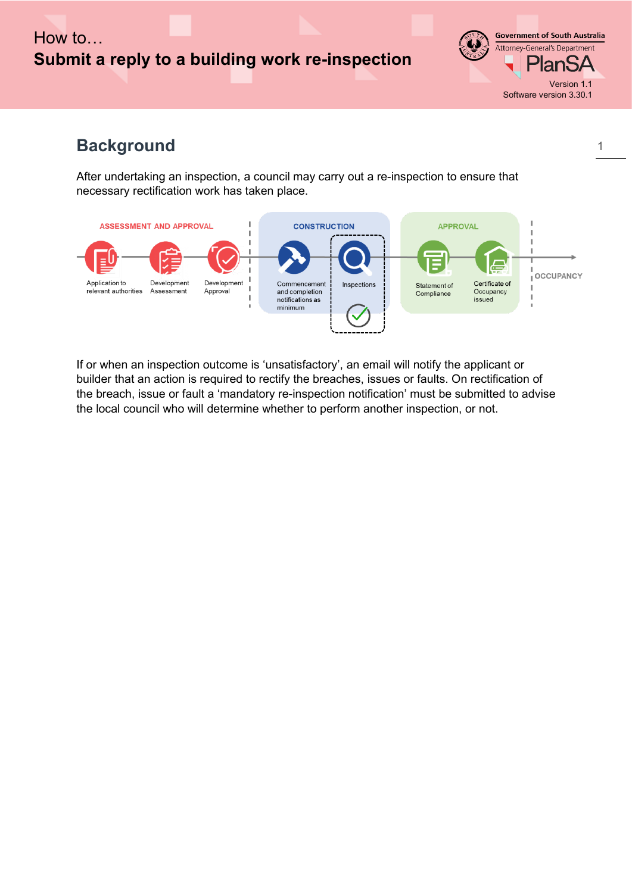## How to… **Submit a reply to a building work re-inspection**

**Government of South Australia** Attorney-General's Department **PlanSA** Version 1.1 Software version 3.30.1

# **Background**

After undertaking an inspection, a council may carry out a re-inspection to ensure that necessary rectification work has taken place.



If or when an inspection outcome is 'unsatisfactory', an email will notify the applicant or builder that an action is required to rectify the breaches, issues or faults. On rectification of the breach, issue or fault a 'mandatory re-inspection notification' must be submitted to advise the local council who will determine whether to perform another inspection, or not.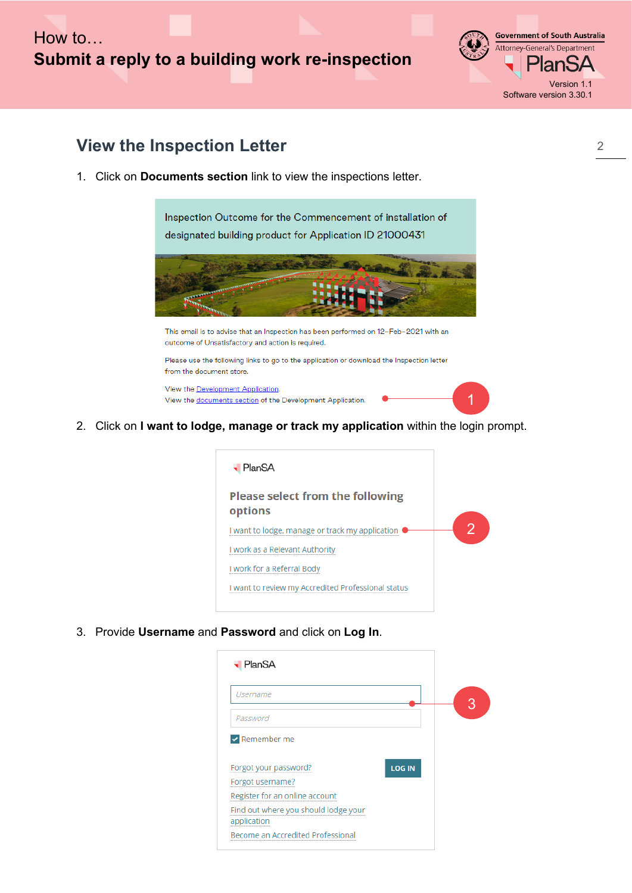### How to… **Submit a reply to a building work re-inspection**

**Government of South Australia** Attorney-General's Department <sup>⊃</sup>lanSA Version 1.1 Software version 3.30.1

#### **View the Inspection Letter**

1. Click on **Documents section** link to view the inspections letter.

Inspection Outcome for the Commencement of installation of designated building product for Application ID 21000431



This email is to advise that an Inspection has been performed on 12-Feb-2021 with an outcome of Unsatisfactory and action is required.

Please use the following links to go to the application or download the Inspection letter from the document store.

View the Development Application. View the documents section of the Development Application.



2. Click on **I want to lodge, manage or track my application** within the login prompt.



3. Provide **Username** and **Password** and click on **Log In**.

| PlanSA                                              |               |  |
|-----------------------------------------------------|---------------|--|
| Username                                            |               |  |
| Password                                            |               |  |
| $\vee$ Remember me                                  |               |  |
| Forgot your password?                               | <b>LOG IN</b> |  |
| Forgot username?                                    |               |  |
| Register for an online account                      |               |  |
| Find out where you should lodge your<br>application |               |  |
| Become an Accredited Professional                   |               |  |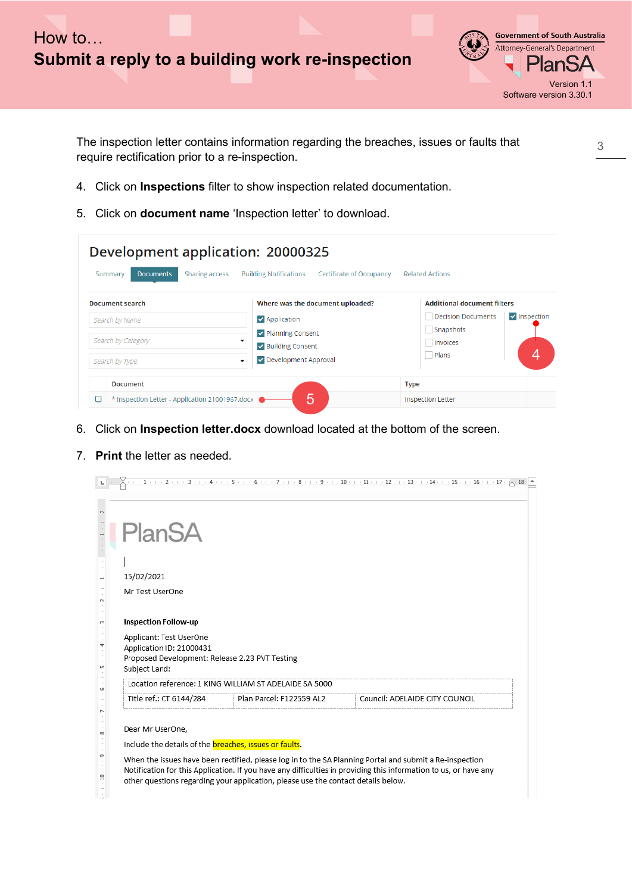



The inspection letter contains information regarding the breaches, issues or faults that require rectification prior to a re-inspection.

- 4. Click on **Inspections** filter to show inspection related documentation.
- 5. Click on **document name** 'Inspection letter' to download.

| Development application: 20000325<br>Sharing access<br><b>Documents</b><br>Summary | <b>Building Notifications</b><br>Certificate of Occupancy                                                                                                                    | <b>Related Actions</b>                                                                                          |
|------------------------------------------------------------------------------------|------------------------------------------------------------------------------------------------------------------------------------------------------------------------------|-----------------------------------------------------------------------------------------------------------------|
| <b>Document search</b><br>Search by Name<br>Search by Category<br>Search by Type   | Where was the document uploaded?<br>$\blacktriangleright$ Application<br>Department Planning Consent<br>$\overline{\phantom{a}}$<br>Building Consent<br>Development Approval | <b>Additional document filters</b><br>Decision Documents<br>$\vee$ Inspection<br>Snapshots<br>Invoices<br>Plans |
| <b>Document</b><br>* Inspection Letter - Application 21001967.docx                 | 5                                                                                                                                                                            | <b>Type</b><br><b>Inspection Letter</b>                                                                         |

- 6. Click on **Inspection letter.docx** download located at the bottom of the screen.
- 7. **Print** the letter as needed.

|        |                                                                                                                        |                                                                                   | $\mathbb{L} \left[ \begin{array}{c} 1 & 1 \\ 2 & 1 \end{array} \right] \left[ \begin{array}{c} 2 & 1 \\ 2 & 1 \end{array} \right] \left[ \begin{array}{c} 2 & 1 \\ 2 & 1 \end{array} \right] \left[ \begin{array}{c} 4 & 1 \\ 4 & 1 \end{array} \right] \left[ \begin{array}{c} 5 & 1 \\ 1 & 6 \end{array} \right] \left[ \begin{array}{c} 6 & 1 \\ 1 & 7 \end{array} \right] \left[ \begin{array}{c} 1 & 8 \\ 1 & 1 \end{array} \right] \left[ \begin{array}{c} $ |  |
|--------|------------------------------------------------------------------------------------------------------------------------|-----------------------------------------------------------------------------------|--------------------------------------------------------------------------------------------------------------------------------------------------------------------------------------------------------------------------------------------------------------------------------------------------------------------------------------------------------------------------------------------------------------------------------------------------------------------|--|
|        | <b>PlanSA</b>                                                                                                          |                                                                                   |                                                                                                                                                                                                                                                                                                                                                                                                                                                                    |  |
|        | 15/02/2021                                                                                                             |                                                                                   |                                                                                                                                                                                                                                                                                                                                                                                                                                                                    |  |
|        | Mr Test UserOne                                                                                                        |                                                                                   |                                                                                                                                                                                                                                                                                                                                                                                                                                                                    |  |
|        | <b>Inspection Follow-up</b>                                                                                            |                                                                                   |                                                                                                                                                                                                                                                                                                                                                                                                                                                                    |  |
|        | Applicant: Test UserOne<br>Application ID: 21000431<br>Proposed Development: Release 2.23 PVT Testing<br>Subject Land: |                                                                                   |                                                                                                                                                                                                                                                                                                                                                                                                                                                                    |  |
| Ф      |                                                                                                                        | Location reference: 1 KING WILLIAM ST ADELAIDE SA 5000                            |                                                                                                                                                                                                                                                                                                                                                                                                                                                                    |  |
|        |                                                                                                                        |                                                                                   | Title ref.: CT 6144/284 Plan Parcel: F122559 AL2 Council: ADELAIDE CITY COUNCIL                                                                                                                                                                                                                                                                                                                                                                                    |  |
| m<br>≘ | Dear Mr UserOne,<br>Include the details of the <b>breaches</b> , issues or faults.                                     | other questions regarding your application, please use the contact details below. | When the issues have been rectified, please log in to the SA Planning Portal and submit a Re-inspection<br>Notification for this Application. If you have any difficulties in providing this information to us, or have any                                                                                                                                                                                                                                        |  |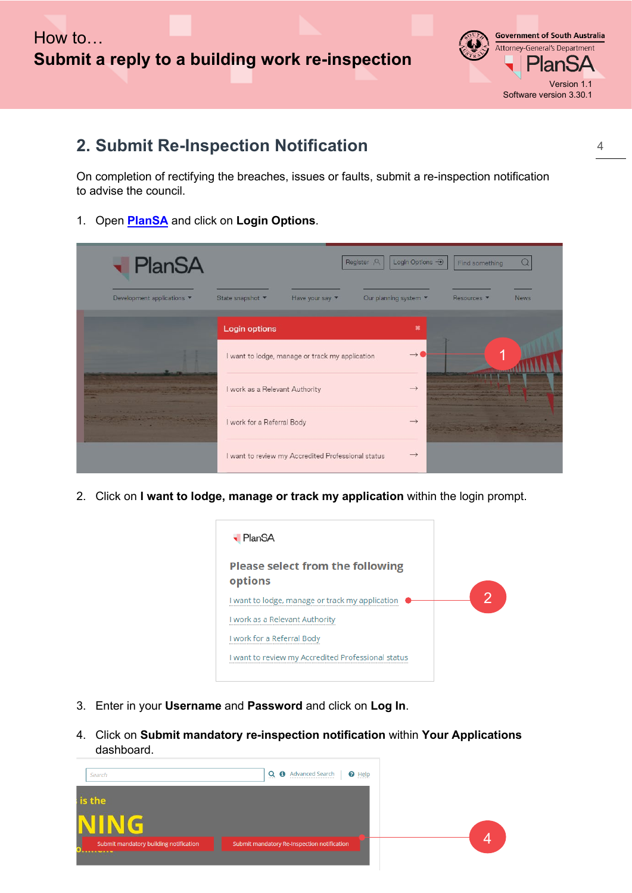

#### **2. Submit Re-Inspection Notification**

On completion of rectifying the breaches, issues or faults, submit a re-inspection notification to advise the council.

1. Open **[PlanSA](https://plan.sa.gov.au/our_planning_system/support)** and click on **Login Options**.

| <b>- PlanSA</b>            |                                |                                                    | Register <sub>2</sub> | Login Options - D                        | Find something     |             |
|----------------------------|--------------------------------|----------------------------------------------------|-----------------------|------------------------------------------|--------------------|-------------|
| Development applications ▼ | State snapshot "               | Have your say v                                    |                       | Our planning system $\blacktriangledown$ | Resources <b>v</b> | <b>News</b> |
|                            | <b>Login options</b>           |                                                    |                       | $\boldsymbol{\ast}$                      |                    |             |
|                            |                                | I want to lodge, manage or track my application    |                       | $\rightarrow$                            |                    |             |
|                            | I work as a Relevant Authority |                                                    |                       | $\rightarrow$                            |                    |             |
|                            | I work for a Referral Body     |                                                    |                       | $\rightarrow$                            |                    |             |
|                            |                                | I want to review my Accredited Professional status |                       | $\rightarrow$                            |                    |             |

2. Click on **I want to lodge, manage or track my application** within the login prompt.



- 3. Enter in your **Username** and **Password** and click on **Log In**.
- 4. Click on **Submit mandatory re-inspection notification** within **Your Applications** dashboard.